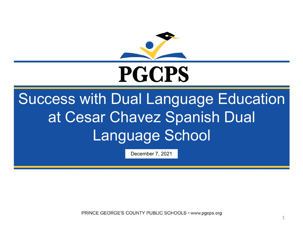

# **PGCPS**

# Success with Dual Language Education at Cesar Chavez Spanish Dual Language School

December 7, 2021

PRINCE GEORGE'S COUNTY PUBLIC SCHOOLS • www.pgcps.org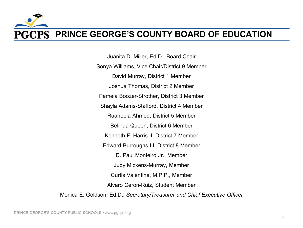#### **PGCPS PRINCE GEORGE'S COUNTY BOARD OF EDUCATION**

 Alvaro Ceron-Ruiz, Student Member Juanita D. Miller, Ed.D., Board Chair Sonya Williams, Vice Chair/District 9 Member David Murray, District 1 Member Joshua Thomas, District 2 Member Pamela Boozer-Strother, District 3 Member Shayla Adams-Stafford, District 4 Member Raaheela Ahmed, District 5 Member Belinda Queen, District 6 Member Kenneth F. Harris II, District 7 Member Edward Burroughs III, District 8 Member D. Paul Monteiro Jr., Member Judy Mickens-Murray, Member Curtis Valentine, M.P.P., Member Monica E. Goldson, Ed.D., *Secretary/Treasurer and Chief Executive Officer*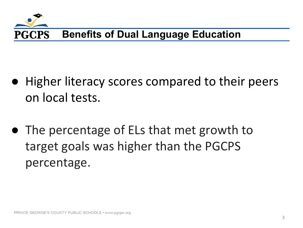

- Higher literacy scores compared to their peers on local tests.
- ● The percentage of ELs that met growth to target goals was higher than the PGCPS percentage.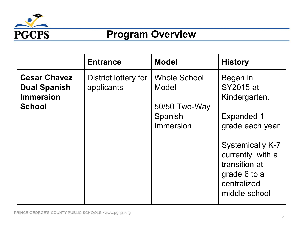

### **Program Overview**

|                                                                                 | <b>Entrance</b>                    | <b>Model</b>                                                          | <b>History</b>                                                                                               |
|---------------------------------------------------------------------------------|------------------------------------|-----------------------------------------------------------------------|--------------------------------------------------------------------------------------------------------------|
| <b>Cesar Chavez</b><br><b>Dual Spanish</b><br><b>Immersion</b><br><b>School</b> | District lottery for<br>applicants | <b>Whole School</b><br>Model<br>50/50 Two-Way<br>Spanish<br>Immersion | Began in<br><b>SY2015 at</b><br>Kindergarten.<br><b>Expanded 1</b><br>grade each year.                       |
|                                                                                 |                                    |                                                                       | <b>Systemically K-7</b><br>currently with a<br>transition at<br>grade 6 to a<br>centralized<br>middle school |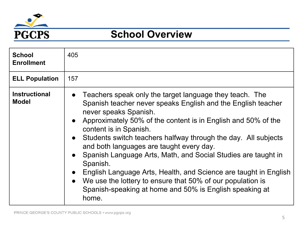

#### **School Overview**

| <b>School</b><br><b>Enrollment</b>   | 405                                                                                                                                                                                                                                                                                                                                                                                                                                                                                                                                                                                                                                                                                   |
|--------------------------------------|---------------------------------------------------------------------------------------------------------------------------------------------------------------------------------------------------------------------------------------------------------------------------------------------------------------------------------------------------------------------------------------------------------------------------------------------------------------------------------------------------------------------------------------------------------------------------------------------------------------------------------------------------------------------------------------|
| <b>ELL Population</b>                | 157                                                                                                                                                                                                                                                                                                                                                                                                                                                                                                                                                                                                                                                                                   |
| <b>Instructional</b><br><b>Model</b> | Teachers speak only the target language they teach. The<br>Spanish teacher never speaks English and the English teacher<br>never speaks Spanish.<br>• Approximately 50% of the content is in English and 50% of the<br>content is in Spanish.<br>Students switch teachers halfway through the day. All subjects<br>$\bullet$<br>and both languages are taught every day.<br>Spanish Language Arts, Math, and Social Studies are taught in<br>Spanish.<br>English Language Arts, Health, and Science are taught in English<br>$\bullet$<br>We use the lottery to ensure that 50% of our population is<br>$\bullet$<br>Spanish-speaking at home and 50% is English speaking at<br>home. |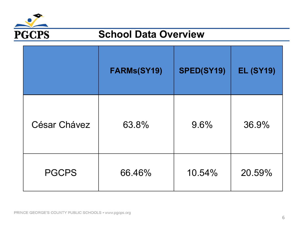

#### **School Data Overview**

|                     | FARMs(SY19) | SPED(SY19) | <b>EL (SY19)</b> |
|---------------------|-------------|------------|------------------|
| <b>César Chávez</b> | 63.8%       | 9.6%       | 36.9%            |
| <b>PGCPS</b>        | 66.46%      | 10.54%     | 20.59%           |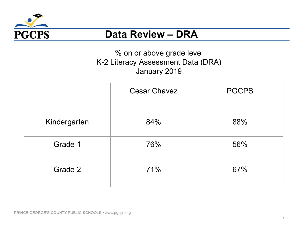

#### **Data Review – DRA**

#### % on or above grade level K-2 Literacy Assessment Data (DRA) January 2019

|              | <b>Cesar Chavez</b> | <b>PGCPS</b> |
|--------------|---------------------|--------------|
| Kindergarten | 84%                 | 88%          |
| Grade 1      | 76%                 | 56%          |
| Grade 2      | 71%                 | 67%          |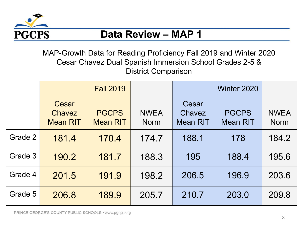

#### **Data Review – MAP 1**

MAP-Growth Data for Reading Proficiency Fall 2019 and Winter 2020 Cesar Chavez Dual Spanish Immersion School Grades 2-5 & District Comparison

|         | <b>Fall 2019</b>                          |                                 |                            | Winter 2020                        |                                 |                            |
|---------|-------------------------------------------|---------------------------------|----------------------------|------------------------------------|---------------------------------|----------------------------|
|         | Cesar<br><b>Chavez</b><br><b>Mean RIT</b> | <b>PGCPS</b><br><b>Mean RIT</b> | <b>NWEA</b><br><b>Norm</b> | Cesar<br>Chavez<br><b>Mean RIT</b> | <b>PGCPS</b><br><b>Mean RIT</b> | <b>NWEA</b><br><b>Norm</b> |
| Grade 2 | 181.4                                     | 170.4                           | 174.7                      | 188.1                              | 178                             | 184.2                      |
| Grade 3 | 190.2                                     | 181.7                           | 188.3                      | 195                                | 188.4                           | 195.6                      |
| Grade 4 | 201.5                                     | 191.9                           | 198.2                      | 206.5                              | 196.9                           | 203.6                      |
| Grade 5 | 206.8                                     | 189.9                           | 205.7                      | 210.7                              | 203.0                           | 209.8                      |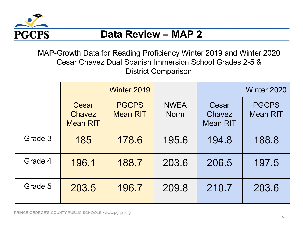

#### **Data Review – MAP 2**

MAP-Growth Data for Reading Proficiency Winter 2019 and Winter 2020 Cesar Chavez Dual Spanish Immersion School Grades 2-5 & District Comparison

|         | Winter 2019                        |                                 |                            |                                    | Winter 2020                     |
|---------|------------------------------------|---------------------------------|----------------------------|------------------------------------|---------------------------------|
|         | Cesar<br>Chavez<br><b>Mean RIT</b> | <b>PGCPS</b><br><b>Mean RIT</b> | <b>NWEA</b><br><b>Norm</b> | Cesar<br>Chavez<br><b>Mean RIT</b> | <b>PGCPS</b><br><b>Mean RIT</b> |
| Grade 3 | 185                                | 178.6                           | 195.6                      | 194.8                              | 188.8                           |
| Grade 4 | 196.1                              | 188.7                           | 203.6                      | 206.5                              | 197.5                           |
| Grade 5 | 203.5                              | 196.7                           | 209.8                      | 210.7                              | 203.6                           |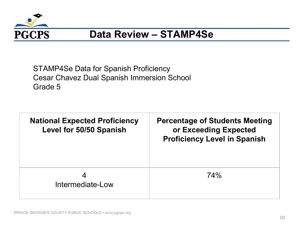

#### **Data Review – STAMP4Se**

STAMP4Se Data for Spanish Proficiency Cesar Chavez Dual Spanish Immersion School Grade 5

| <b>National Expected Proficiency</b><br>Level for 50/50 Spanish | <b>Percentage of Students Meeting</b><br>or Exceeding Expected<br><b>Proficiency Level in Spanish</b> |
|-----------------------------------------------------------------|-------------------------------------------------------------------------------------------------------|
| Intermediate-Low                                                | 74%                                                                                                   |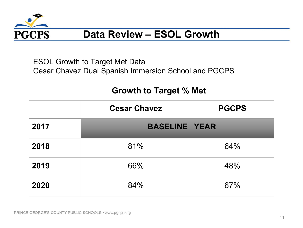

### **Data Review – ESOL Growth**

 ESOL Growth to Target Met Data Cesar Chavez Dual Spanish Immersion School and PGCPS

#### **Growth to Target % Met**

|      | <b>Cesar Chavez</b>  | <b>PGCPS</b> |
|------|----------------------|--------------|
| 2017 | <b>BASELINE YEAR</b> |              |
| 2018 | 81%                  | 64%          |
| 2019 | 66%                  | 48%          |
| 2020 | 84%                  | 67%          |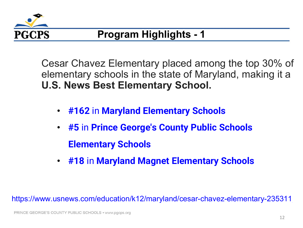

## **Program Highlights - 1**

 Cesar Chavez Elementary placed among the top 30% of elementary schools in the state of Maryland, making it a **U.S. News Best Elementary School.** 

- **#162** in **[Maryland Elementary Schools](https://www.usnews.com/education/k12/search?grade=2&state=MD)**
- **#5** in **[Prince George's County Public Schools](https://www.usnews.com/education/k12/search?grade=2&state=MD&district-id=104078)  Elementary Schools**
- **#18** in **[Maryland Magnet Elementary Schools](https://www.usnews.com/education/k12/search?grade=2&state=MD&school-type=magnet)**

<https://www.usnews.com/education/k12/maryland/cesar-chavez-elementary-235311>